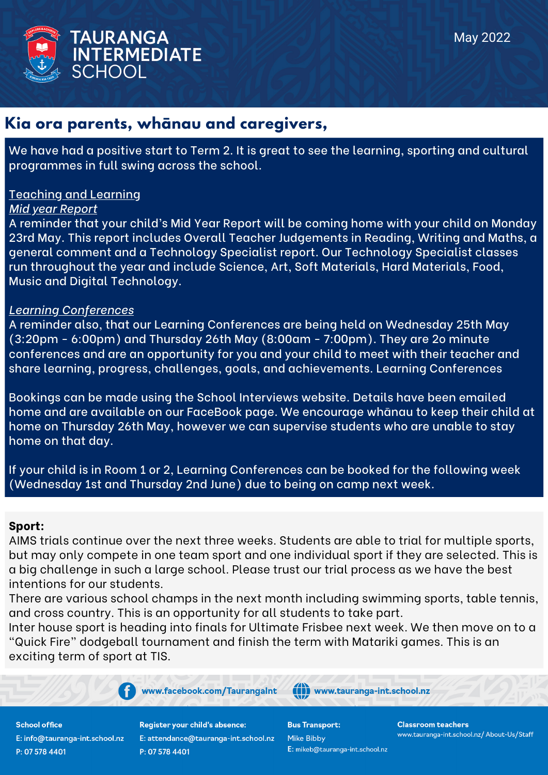

### **Kia ora parents, whānau and caregivers,**

We have had a positive start to Term 2. It is great to see the learning, sporting and cultural programmes in full swing across the school.

### Teaching and Learning

### *Mid year Report*

A reminder that your child's Mid Year Report will be coming home with your child on Monday 23rd May. This report includes Overall Teacher Judgements in Reading, Writing and Maths, a general comment and a Technology Specialist report. Our Technology Specialist classes run throughout the year and include Science, Art, Soft Materials, Hard Materials, Food, Music and Digital Technology.

### *Learning Conferences*

A reminder also, that our Learning Conferences are being held on Wednesday 25th May (3:20pm - 6:00pm) and Thursday 26th May (8:00am - 7:00pm). They are 2o minute conferences and are an opportunity for you and your child to meet with their teacher and share learning, progress, challenges, goals, and achievements. Learning Conferences

Bookings can be made using the School Interviews website. Details have been emailed home and are available on our FaceBook page. We encourage whānau to keep their child at home on Thursday 26th May, however we can supervise students who are unable to stay home on that day.

If your child is in Room 1 or 2, Learning Conferences can be booked for the following week (Wednesday 1st and Thursday 2nd June) due to being on camp next week.

### **Sport:**

AIMS trials continue over the next three weeks. Students are able to trial for multiple sports, but may only compete in one team sport and one individual sport if they are selected. This is a big challenge in such a large school. Please trust our trial process as we have the best intentions for our students.

There are various school champs in the next month including swimming sports, table tennis, and cross country. This is an opportunity for all students to take part.

Inter house sport is heading into finals for Ultimate Frisbee next week. We then move on to a "Quick Fire" dodgeball tournament and finish the term with Matariki games. This is an exciting term of sport at TIS.

www.facebook.com/TaurangaInt

**School office** E: info@tauranga-int.school.nz P: 07 578 4401

**Register your child's absence:** E: attendance@tauranga-int.school.nz P: 07 578 4401

(()) www.tauranga-int.school.nz

**Bus Transport: Mike Bibby** E: mikeb@tauranga-int.school.nz **Classroom teachers** www.tauranga-int.school.nz/ About-Us/Staff